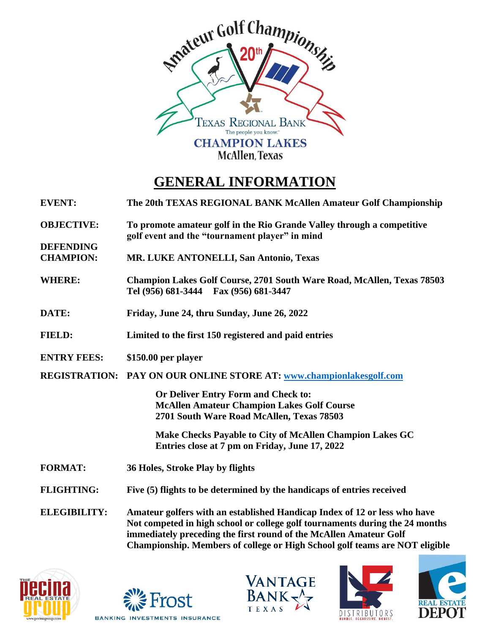

## **GENERAL INFORMATION**

**EVENT: The 20th TEXAS REGIONAL BANK McAllen Amateur Golf Championship**

**OBJECTIVE: To promote amateur golf in the Rio Grande Valley through a competitive golf event and the "tournament player" in mind**

**CHAMPION: MR. LUKE ANTONELLI, San Antonio, Texas**

- **WHERE: Champion Lakes Golf Course, 2701 South Ware Road, McAllen, Texas 78503 Tel (956) 681-3444 Fax (956) 681-3447**
- **DATE: Friday, June 24, thru Sunday, June 26, 2022**
- **FIELD: Limited to the first 150 registered and paid entries**
- **ENTRY FEES: \$150.00 per player**

**DEFENDING**

**REGISTRATION: PAY ON OUR ONLINE STORE AT: [www.c](http://www./)hampionlakesgolf.com**

**Or Deliver Entry Form and Check to: McAllen Amateur Champion Lakes Golf Course 2701 South Ware Road McAllen, Texas 78503**

**Make Checks Payable to City of McAllen Champion Lakes GC Entries close at 7 pm on Friday, June 17, 2022**

- **FORMAT: 36 Holes, Stroke Play by flights**
- **FLIGHTING: Five (5) flights to be determined by the handicaps of entries received**

**ELEGIBILITY: Amateur golfers with an established Handicap Index of 12 or less who have Not competed in high school or college golf tournaments during the 24 months immediately preceding the first round of the McAllen Amateur Golf Championship. Members of college or High School golf teams are NOT eligible**